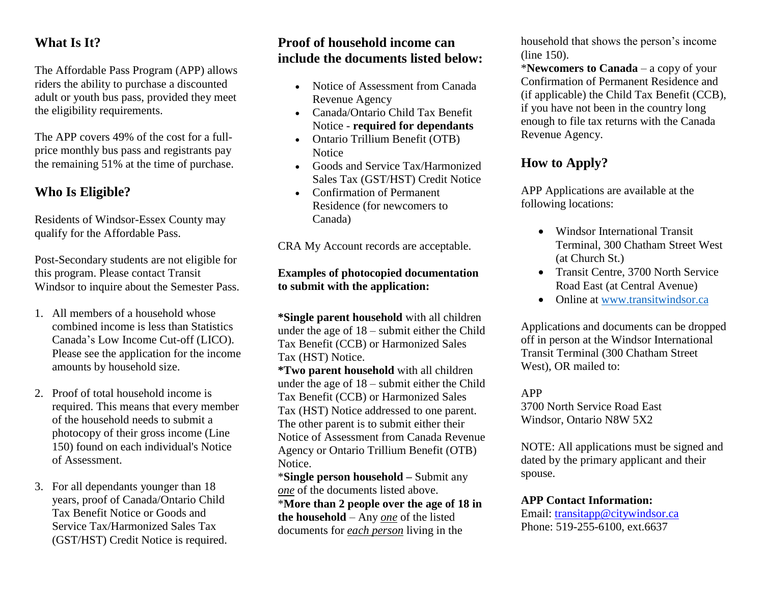# **What Is It?**

The Affordable Pass Program (APP) allows riders the ability to purchase a discounted adult or youth bus pass, provided they meet the eligibility requirements.

The APP covers 49% of the cost for a fullprice monthly bus pass and registrants pay the remaining 51% at the time of purchase.

# **Who Is Eligible?**

Residents of Windsor-Essex County may qualify for the Affordable Pass.

Post-Secondary students are not eligible for this program. Please contact Transit Windsor to inquire about the Semester Pass.

- 1. All members of a household whose combined income is less than Statistics Canada's Low Income Cut-off (LICO). Please see the application for the income amounts by household size.
- 2. Proof of total household income is required. This means that every member of the household needs to submit a photocopy of their gross income (Line 150) found on each individual's Notice of Assessment.
- 3. For all dependants younger than 18 years, proof of Canada/Ontario Child Tax Benefit Notice or Goods and Service Tax/Harmonized Sales Tax (GST/HST) Credit Notice is required.

## **Proof of household income can include the documents listed below:**

- Notice of Assessment from Canada Revenue Agency
- Canada/Ontario Child Tax Benefit Notice - **required for dependants**
- Ontario Trillium Benefit (OTB) **Notice**
- Goods and Service Tax/Harmonized Sales Tax (GST/HST) Credit Notice
- Confirmation of Permanent Residence (for newcomers to Canada)

CRA My Account records are acceptable.

## **Examples of photocopied documentation to submit with the application:**

**\*Single parent household** with all children under the age of 18 – submit either the Child Tax Benefit (CCB) or Harmonized Sales Tax (HST) Notice.

**\*Two parent household** with all children under the age of 18 – submit either the Child Tax Benefit (CCB) or Harmonized Sales Tax (HST) Notice addressed to one parent. The other parent is to submit either their Notice of Assessment from Canada Revenue Agency or Ontario Trillium Benefit (OTB) Notice.

\***Single person household –** Submit any *one* of the documents listed above. \***More than 2 people over the age of 18 in the household** – Any *one* of the listed documents for *each person* living in the

household that shows the person's income (line 150).

\***Newcomers to Canada** – a copy of your Confirmation of Permanent Residence and (if applicable) the Child Tax Benefit (CCB), if you have not been in the country long enough to file tax returns with the Canada Revenue Agency.

# **How to Apply?**

APP Applications are available at the following locations:

- Windsor International Transit Terminal, 300 Chatham Street West (at Church St.)
- Transit Centre, 3700 North Service Road East (at Central Avenue)
- Online at [www.transitwindsor.ca](http://www.transitwindsor.ca/)

Applications and documents can be dropped off in person at the Windsor International Transit Terminal (300 Chatham Street West), OR mailed to:

APP

3700 North Service Road East Windsor, Ontario N8W 5X2

NOTE: All applications must be signed and dated by the primary applicant and their spouse.

## **APP Contact Information:**

Email: [transitapp@citywindsor.ca](mailto:transitapp@citywindsor.ca) Phone: 519-255-6100, ext.6637